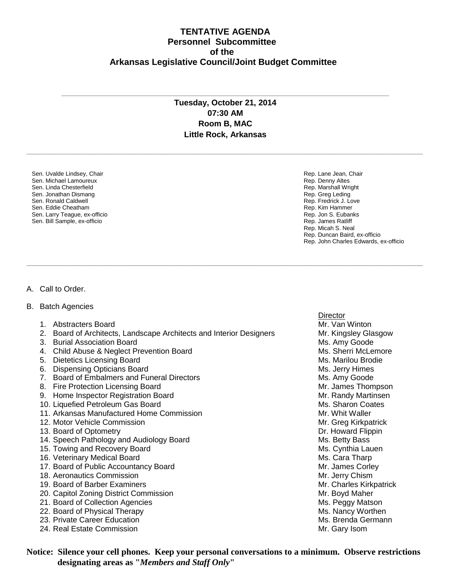## **TENTATIVE AGENDA Personnel Subcommittee of the Arkansas Legislative Council/Joint Budget Committee**

## **Tuesday, October 21, 2014 07:30 AM Room B, MAC Little Rock, Arkansas**

**\_\_\_\_\_\_\_\_\_\_\_\_\_\_\_\_\_\_\_\_\_\_\_\_\_\_\_\_\_\_\_\_\_\_\_\_\_\_\_\_\_\_\_\_\_\_\_\_\_\_\_\_\_\_\_\_\_\_\_\_\_\_\_\_\_\_\_\_\_\_\_\_\_\_\_\_\_\_\_\_\_\_\_\_\_\_\_\_\_\_\_\_\_\_\_\_\_\_\_\_\_\_\_\_\_\_\_\_\_\_\_\_\_\_\_\_\_\_\_\_\_**

**\_\_\_\_\_\_\_\_\_\_\_\_\_\_\_\_\_\_\_\_\_\_\_\_\_\_\_\_\_\_\_\_\_\_\_\_\_\_\_\_\_\_\_\_\_\_\_\_\_\_\_\_\_\_\_\_\_\_\_\_\_\_\_\_\_\_\_\_\_\_\_\_\_\_\_\_\_\_\_\_\_\_\_\_\_\_\_\_\_\_\_\_\_\_\_\_\_\_\_\_\_\_\_\_\_\_\_\_\_\_\_\_\_\_\_\_\_\_\_\_\_**

**\_\_\_\_\_\_\_\_\_\_\_\_\_\_\_\_\_\_\_\_\_\_\_\_\_\_\_\_\_\_\_\_\_\_\_\_\_\_\_\_\_\_\_\_\_\_\_\_\_\_\_\_\_\_\_\_\_\_\_\_\_\_\_\_\_\_\_\_\_\_\_\_\_\_\_\_\_\_\_\_\_\_\_\_\_\_\_\_\_\_\_\_\_\_\_\_\_\_\_\_**

Sen. Uvalde Lindsey, Chair Sen. Michael Lamoureux Sen. Linda Chesterfield Sen. Jonathan Dismang Sen. Ronald Caldwell Sen. Eddie Cheatham Sen. Larry Teague, ex-officio Sen. Bill Sample, ex-officio

Rep. Lane Jean, Chair Rep. Denny Altes Rep. Marshall Wright Rep. Greg Leding Rep. Fredrick J. Love Rep. Kim Hammer Rep. Jon S. Eubanks Rep. James Ratliff Rep. Micah S. Neal Rep. Duncan Baird, ex-officio Rep. John Charles Edwards, ex-officio

## A. Call to Order.

- B. Batch Agencies
	- 1. Abstracters Board Mr. Van Winton and Archives and Archives and Mr. Van Winton Mr. Van Winton
	- 2. Board of Architects, Landscape Architects and Interior Designers Mr. Kingsley Glasgow
	- 3. Burial Association Board Ms. Amy Goode Ms. Amy Goode
	- 4. Child Abuse & Neglect Prevention Board Ms. Sherri McLemore
	- 5. Dietetics Licensing Board Ms. Marilou Brodie
	- 6. Dispensing Opticians Board Ms. Jerry Himes
	- 7. Board of Embalmers and Funeral Directors Music Controllery Music Music Music Music Music Music Music Music Music Music Music Music Music Music Music Music Music Music Music Music Music Music Music Music Music Music Musi
	- 8. Fire Protection Licensing Board Mr. James Thompson
	- 9. Home Inspector Registration Board Mr. Randy Martinsen
	- 10. Liquefied Petroleum Gas Board Ms. Sharon Coates
	- 11. Arkansas Manufactured Home Commission Microsoft Commission Mr. Whit Waller
	- 12. Motor Vehicle Commission Mr. Greg Kirkpatrick
	- 13. Board of Optometry **Dr. Howard Flippin**
	- 14. Speech Pathology and Audiology Board Ms. Betty Bass
	- 15. Towing and Recovery Board Ms. Cynthia Lauen Ms. Cynthia Lauen
	- 16. Veterinary Medical Board Ms. Cara Tharp
	- 17. Board of Public Accountancy Board Mr. James Corley
	- 18. Aeronautics Commission Mr. Jerry Chism and Mr. Jerry Chism
	- 19. Board of Barber Examiners Mr. Charles Kirkpatrick Mr. Charles Kirkpatrick
	- 20. Capitol Zoning District Commission **Mr. Boyd Maher** Mr. Boyd Maher
	- 21. Board of Collection Agencies Ms. Peggy Matson Ms. Peggy Matson
	-
	- 23. Private Career Education
	- 24. Real Estate Commission **Mr. Gary Isom** Mr. Gary Isom

**Director** 22. Board of Physical Therapy and the state of the state of the Ms. Nancy Worthen<br>23. Private Career Education and the Same of the Ms. Brenda Germann

**Notice: Silence your cell phones. Keep your personal conversations to a minimum. Observe restrictions designating areas as "***Members and Staff Only***"**